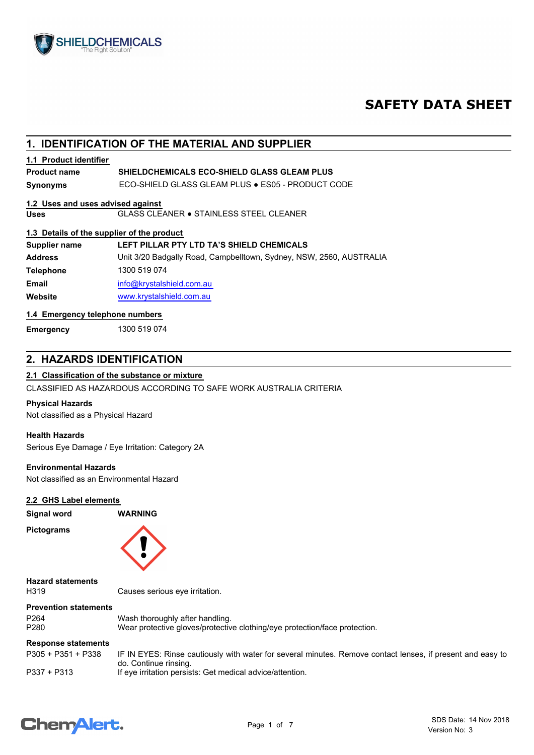

## **SAFETY DATA SHEET**

## **1. IDENTIFICATION OF THE MATERIAL AND SUPPLIER**

#### **1.1 Product identifier**

#### **SHIELDCHEMICALS ECO-SHIELD GLASS GLEAM PLUS Product name**

**Synonyms** ECO-SHIELD GLASS GLEAM PLUS ● ES05 - PRODUCT CODE

#### **1.2 Uses and uses advised against**

**Uses** GLASS CLEANER ● STAINLESS STEEL CLEANER

#### **1.3 Details of the supplier of the product**

| Supplier name    | LEFT PILLAR PTY LTD TA'S SHIELD CHEMICALS                           |
|------------------|---------------------------------------------------------------------|
| <b>Address</b>   | Unit 3/20 Badgally Road, Campbelltown, Sydney, NSW, 2560, AUSTRALIA |
| <b>Telephone</b> | 1300 519 074                                                        |
| Email            | info@krystalshield.com.au                                           |
| Website          | www.krystalshield.com.au                                            |

#### **1.4 Emergency telephone numbers**

**Emergency** 1300 519 074

### **2. HAZARDS IDENTIFICATION**

#### **2.1 Classification of the substance or mixture**

CLASSIFIED AS HAZARDOUS ACCORDING TO SAFE WORK AUSTRALIA CRITERIA

#### **Physical Hazards**

Not classified as a Physical Hazard

#### **Health Hazards**

Serious Eye Damage / Eye Irritation: Category 2A

#### **Environmental Hazards**

Not classified as an Environmental Hazard

#### **2.2 GHS Label elements**

## **Signal word WARNING**

**Pictograms**



**Hazard statements**

H319 Causes serious eye irritation.

#### **Prevention statements**

P264 Wash thoroughly after handling.<br>P280 Wear protective gloves/protective Wear protective gloves/protective clothing/eye protection/face protection.

#### **Response statements**

| P305 + P351 + P338 | IF IN EYES: Rinse cautiously with water for several minutes. Remove contact lenses, if present and easy to<br>do. Continue rinsing. |
|--------------------|-------------------------------------------------------------------------------------------------------------------------------------|
| P337 + P313        | If eye irritation persists: Get medical advice/attention.                                                                           |

## **ChemAlert.**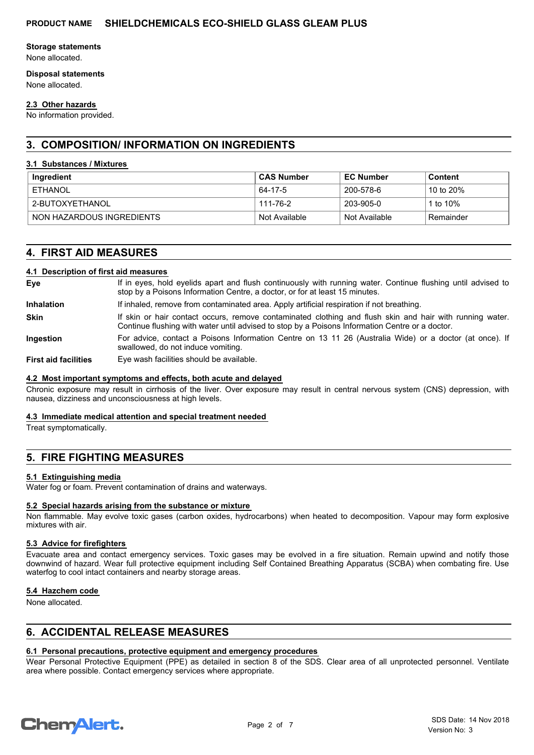#### **Storage statements**

None allocated.

#### **Disposal statements**

None allocated.

#### **2.3 Other hazards**

No information provided.

## **3. COMPOSITION/ INFORMATION ON INGREDIENTS**

#### **3.1 Substances / Mixtures**

| Ingredient                | <b>CAS Number</b> | <b>EC Number</b> | Content     |
|---------------------------|-------------------|------------------|-------------|
| ETHANOL                   | 64-17-5           | 200-578-6        | 10 to 20%   |
| 2-BUTOXYETHANOL           | 111-76-2          | 203-905-0        | 1 to $10\%$ |
| NON HAZARDOUS INGREDIENTS | Not Available     | Not Available    | Remainder   |

## **4. FIRST AID MEASURES**

#### **4.1 Description of first aid measures**

| Eye                         | If in eyes, hold eyelids apart and flush continuously with running water. Continue flushing until advised to<br>stop by a Poisons Information Centre, a doctor, or for at least 15 minutes.                 |
|-----------------------------|-------------------------------------------------------------------------------------------------------------------------------------------------------------------------------------------------------------|
| <b>Inhalation</b>           | If inhaled, remove from contaminated area. Apply artificial respiration if not breathing.                                                                                                                   |
| <b>Skin</b>                 | If skin or hair contact occurs, remove contaminated clothing and flush skin and hair with running water.<br>Continue flushing with water until advised to stop by a Poisons Information Centre or a doctor. |
| <b>Ingestion</b>            | For advice, contact a Poisons Information Centre on 13 11 26 (Australia Wide) or a doctor (at once). If<br>swallowed, do not induce vomiting.                                                               |
| <b>First aid facilities</b> | Eye wash facilities should be available.                                                                                                                                                                    |

#### **4.2 Most important symptoms and effects, both acute and delayed**

Chronic exposure may result in cirrhosis of the liver. Over exposure may result in central nervous system (CNS) depression, with nausea, dizziness and unconsciousness at high levels.

#### **4.3 Immediate medical attention and special treatment needed**

Treat symptomatically.

## **5. FIRE FIGHTING MEASURES**

#### **5.1 Extinguishing media**

Water fog or foam. Prevent contamination of drains and waterways.

#### **5.2 Special hazards arising from the substance or mixture**

Non flammable. May evolve toxic gases (carbon oxides, hydrocarbons) when heated to decomposition. Vapour may form explosive mixtures with air.

#### **5.3 Advice for firefighters**

Evacuate area and contact emergency services. Toxic gases may be evolved in a fire situation. Remain upwind and notify those downwind of hazard. Wear full protective equipment including Self Contained Breathing Apparatus (SCBA) when combating fire. Use waterfog to cool intact containers and nearby storage areas.

#### **5.4 Hazchem code**

None allocated.

## **6. ACCIDENTAL RELEASE MEASURES**

## **6.1 Personal precautions, protective equipment and emergency procedures**

Wear Personal Protective Equipment (PPE) as detailed in section 8 of the SDS. Clear area of all unprotected personnel. Ventilate area where possible. Contact emergency services where appropriate.

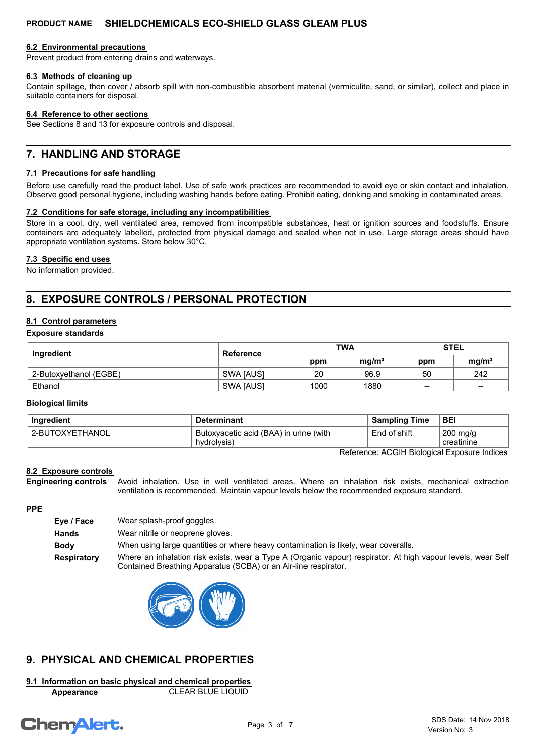#### **6.2 Environmental precautions**

Prevent product from entering drains and waterways.

#### **6.3 Methods of cleaning up**

Contain spillage, then cover / absorb spill with non-combustible absorbent material (vermiculite, sand, or similar), collect and place in suitable containers for disposal.

#### **6.4 Reference to other sections**

See Sections 8 and 13 for exposure controls and disposal.

## **7. HANDLING AND STORAGE**

#### **7.1 Precautions for safe handling**

Before use carefully read the product label. Use of safe work practices are recommended to avoid eye or skin contact and inhalation. Observe good personal hygiene, including washing hands before eating. Prohibit eating, drinking and smoking in contaminated areas.

#### **7.2 Conditions for safe storage, including any incompatibilities**

Store in a cool, dry, well ventilated area, removed from incompatible substances, heat or ignition sources and foodstuffs. Ensure containers are adequately labelled, protected from physical damage and sealed when not in use. Large storage areas should have appropriate ventilation systems. Store below 30°C.

#### **7.3 Specific end uses**

No information provided.

## **8. EXPOSURE CONTROLS / PERSONAL PROTECTION**

#### **8.1 Control parameters**

#### **Exposure standards**

| Ingredient             | <b>Reference</b> | <b>TWA</b> |                   | <b>STEL</b> |                   |
|------------------------|------------------|------------|-------------------|-------------|-------------------|
|                        |                  | ppm        | mq/m <sup>3</sup> | ppm         | mq/m <sup>3</sup> |
| 2-Butoxyethanol (EGBE) | <b>SWA JAUSI</b> | 20         | 96.9              | 50          | 242               |
| Ethanol                | SWA [AUS]        | 1000       | 1880              | $\sim$      | $\sim$            |

#### **Biological limits**

| Ingredient      | <b>Determinant</b>                       | <b>Sampling Time</b> | <b>BEI</b> |
|-----------------|------------------------------------------|----------------------|------------|
| 2-BUTOXYETHANOL | ' Butoxyacetic acid (BAA) in urine (with | End of shift         | 200 mg/g   |
|                 | hydrolysis)                              |                      | creatinine |

Reference: ACGIH Biological Exposure Indices

#### **8.2 Exposure controls**

Avoid inhalation. Use in well ventilated areas. Where an inhalation risk exists, mechanical extraction ventilation is recommended. Maintain vapour levels below the recommended exposure standard. **Engineering controls**

#### **PPE**

| Eye / Face  | Wear splash-proof goggles.                                                                                                                                                      |
|-------------|---------------------------------------------------------------------------------------------------------------------------------------------------------------------------------|
| Hands       | Wear nitrile or neoprene gloves.                                                                                                                                                |
| <b>Body</b> | When using large quantities or where heavy contamination is likely, wear coveralls.                                                                                             |
| Respiratory | Where an inhalation risk exists, wear a Type A (Organic vapour) respirator. At high vapour levels, wear Self<br>Contained Breathing Apparatus (SCBA) or an Air-line respirator. |



## **9. PHYSICAL AND CHEMICAL PROPERTIES**

#### **9.1 Information on basic physical and chemical properties Appearance** CLEAR BLUE LIQUID

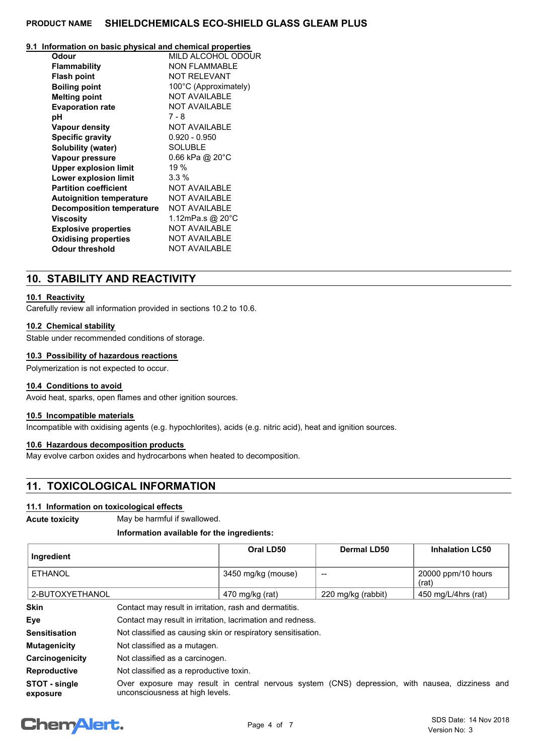## **9.1 Information on basic physical and chemical properties**

| Odour                            | MILD ALCOHOL ODOUR        |
|----------------------------------|---------------------------|
| <b>Flammability</b>              | <b>NON FLAMMABLE</b>      |
| <b>Flash point</b>               | <b>NOT RELEVANT</b>       |
| <b>Boiling point</b>             | 100°C (Approximately)     |
| <b>Melting point</b>             | <b>NOT AVAILABLE</b>      |
| <b>Evaporation rate</b>          | <b>NOT AVAILABLE</b>      |
| рH                               | 7 - 8                     |
| <b>Vapour density</b>            | <b>NOT AVAILABLE</b>      |
| <b>Specific gravity</b>          | $0.920 - 0.950$           |
| <b>Solubility (water)</b>        | <b>SOLUBLE</b>            |
| Vapour pressure                  | 0.66 kPa @ $20^{\circ}$ C |
| <b>Upper explosion limit</b>     | 19%                       |
| Lower explosion limit            | $3.3\%$                   |
| <b>Partition coefficient</b>     | <b>NOT AVAILABLE</b>      |
| <b>Autoignition temperature</b>  | <b>NOT AVAILABLE</b>      |
| <b>Decomposition temperature</b> | <b>NOT AVAILABLE</b>      |
| Viscosity                        | 1.12mPa.s @ 20°C          |
| <b>Explosive properties</b>      | <b>NOT AVAILABLE</b>      |
| <b>Oxidising properties</b>      | <b>NOT AVAILABLE</b>      |
| <b>Odour threshold</b>           | <b>NOT AVAILABLE</b>      |
|                                  |                           |

## **10. STABILITY AND REACTIVITY**

#### **10.1 Reactivity**

Carefully review all information provided in sections 10.2 to 10.6.

#### **10.2 Chemical stability**

Stable under recommended conditions of storage.

#### **10.3 Possibility of hazardous reactions**

Polymerization is not expected to occur.

#### **10.4 Conditions to avoid**

Avoid heat, sparks, open flames and other ignition sources.

#### **10.5 Incompatible materials**

Incompatible with oxidising agents (e.g. hypochlorites), acids (e.g. nitric acid), heat and ignition sources.

#### **10.6 Hazardous decomposition products**

May evolve carbon oxides and hydrocarbons when heated to decomposition.

## **11. TOXICOLOGICAL INFORMATION**

#### **11.1 Information on toxicological effects**

**Acute toxicity** May be harmful if swallowed.

#### **Information available for the ingredients:**

| ∣ Ingredient    | Oral LD50          | Dermal LD50        | <b>Inhalation LC50</b>      |
|-----------------|--------------------|--------------------|-----------------------------|
| ETHANOL         | 3450 mg/kg (mouse) | $- -$              | 20000 ppm/10 hours<br>(rat) |
| 2-BUTOXYETHANOL | 470 mg/kg (rat)    | 220 mg/kg (rabbit) | 450 mg/L/4hrs (rat)         |

| <b>Skin</b>               | Contact may result in irritation, rash and dermatitis.                                                                             |
|---------------------------|------------------------------------------------------------------------------------------------------------------------------------|
| Eye                       | Contact may result in irritation, lacrimation and redness.                                                                         |
| <b>Sensitisation</b>      | Not classified as causing skin or respiratory sensitisation.                                                                       |
| <b>Mutagenicity</b>       | Not classified as a mutagen.                                                                                                       |
| Carcinogenicity           | Not classified as a carcinogen.                                                                                                    |
| <b>Reproductive</b>       | Not classified as a reproductive toxin.                                                                                            |
| STOT - single<br>exposure | Over exposure may result in central nervous system (CNS) depression, with nausea, dizziness and<br>unconsciousness at high levels. |

## **Chemalert.**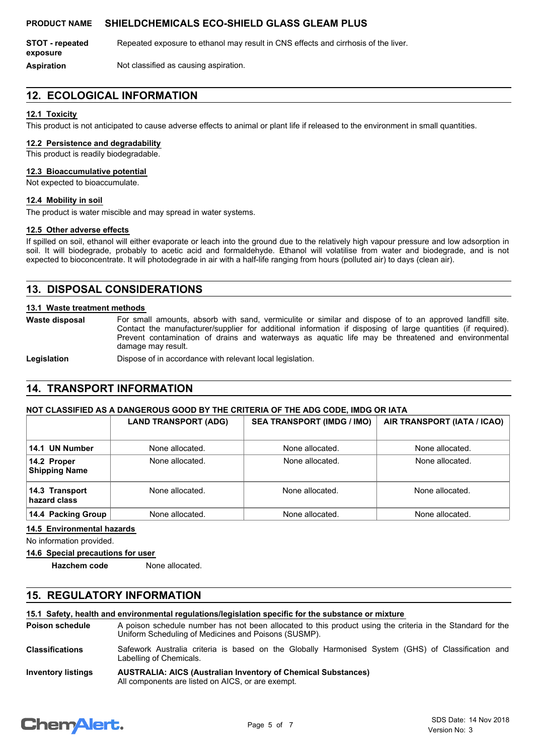**STOT - repeated** Repeated exposure to ethanol may result in CNS effects and cirrhosis of the liver. **exposure**

**Aspiration** Not classified as causing aspiration.

## **12. ECOLOGICAL INFORMATION**

#### **12.1 Toxicity**

This product is not anticipated to cause adverse effects to animal or plant life if released to the environment in small quantities.

#### **12.2 Persistence and degradability**

This product is readily biodegradable.

### **12.3 Bioaccumulative potential**

Not expected to bioaccumulate.

#### **12.4 Mobility in soil**

The product is water miscible and may spread in water systems.

#### **12.5 Other adverse effects**

If spilled on soil, ethanol will either evaporate or leach into the ground due to the relatively high vapour pressure and low adsorption in soil. It will biodegrade, probably to acetic acid and formaldehyde. Ethanol will volatilise from water and biodegrade, and is not expected to bioconcentrate. It will photodegrade in air with a half-life ranging from hours (polluted air) to days (clean air).

### **13. DISPOSAL CONSIDERATIONS**

#### **13.1 Waste treatment methods**

**Waste disposal**

For small amounts, absorb with sand, vermiculite or similar and dispose of to an approved landfill site. Contact the manufacturer/supplier for additional information if disposing of large quantities (if required). Prevent contamination of drains and waterways as aquatic life may be threatened and environmental damage may result.

**Legislation** Dispose of in accordance with relevant local legislation.

### **14. TRANSPORT INFORMATION**

#### **NOT CLASSIFIED AS A DANGEROUS GOOD BY THE CRITERIA OF THE ADG CODE, IMDG OR IATA**

|                                     | <b>LAND TRANSPORT (ADG)</b> | <b>SEA TRANSPORT (IMDG / IMO)</b> | AIR TRANSPORT (IATA / ICAO) |
|-------------------------------------|-----------------------------|-----------------------------------|-----------------------------|
| 14.1 UN Number                      | None allocated.             | None allocated.                   | None allocated.             |
| 14.2 Proper<br><b>Shipping Name</b> | None allocated.             | None allocated.                   | None allocated.             |
| 14.3 Transport<br>hazard class      | None allocated.             | None allocated.                   | None allocated.             |
| 14.4 Packing Group                  | None allocated.             | None allocated.                   | None allocated.             |

#### **14.5 Environmental hazards**

No information provided.

#### **14.6 Special precautions for user**

**Hazchem code** None allocated.

### **15. REGULATORY INFORMATION**

**15.1 Safety, health and environmental regulations/legislation specific for the substance or mixture**

A poison schedule number has not been allocated to this product using the criteria in the Standard for the Uniform Scheduling of Medicines and Poisons (SUSMP). **Poison schedule**

Safework Australia criteria is based on the Globally Harmonised System (GHS) of Classification and Labelling of Chemicals. **Classifications**

#### **AUSTRALIA: AICS (Australian Inventory of Chemical Substances)** All components are listed on AICS, or are exempt. **Inventory listings**

# **ChemAlert.**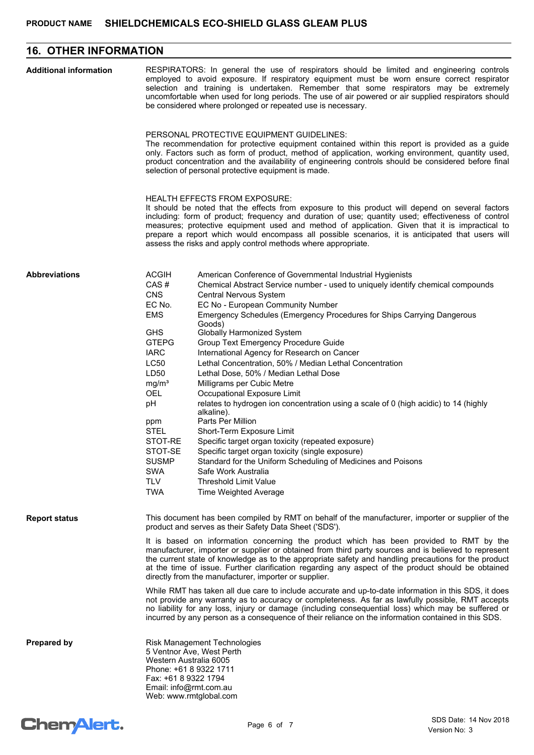## **16. OTHER INFORMATION**

| <b>Additional information</b> | RESPIRATORS: In general the use of respirators should be limited and engineering controls<br>employed to avoid exposure. If respiratory equipment must be worn ensure correct respirator<br>selection and training is undertaken. Remember that some respirators may be extremely<br>uncomfortable when used for long periods. The use of air powered or air supplied respirators should<br>be considered where prolonged or repeated use is necessary.                                                                                                                                                                                                                                                                                                                                                                                                                                                                                                                                                                                                                                                                                                                                                                                                                                  |
|-------------------------------|------------------------------------------------------------------------------------------------------------------------------------------------------------------------------------------------------------------------------------------------------------------------------------------------------------------------------------------------------------------------------------------------------------------------------------------------------------------------------------------------------------------------------------------------------------------------------------------------------------------------------------------------------------------------------------------------------------------------------------------------------------------------------------------------------------------------------------------------------------------------------------------------------------------------------------------------------------------------------------------------------------------------------------------------------------------------------------------------------------------------------------------------------------------------------------------------------------------------------------------------------------------------------------------|
|                               | PERSONAL PROTECTIVE EQUIPMENT GUIDELINES:<br>The recommendation for protective equipment contained within this report is provided as a guide<br>only. Factors such as form of product, method of application, working environment, quantity used,<br>product concentration and the availability of engineering controls should be considered before final<br>selection of personal protective equipment is made.                                                                                                                                                                                                                                                                                                                                                                                                                                                                                                                                                                                                                                                                                                                                                                                                                                                                         |
|                               | <b>HEALTH EFFECTS FROM EXPOSURE:</b><br>It should be noted that the effects from exposure to this product will depend on several factors<br>including: form of product; frequency and duration of use; quantity used; effectiveness of control<br>measures; protective equipment used and method of application. Given that it is impractical to<br>prepare a report which would encompass all possible scenarios, it is anticipated that users will<br>assess the risks and apply control methods where appropriate.                                                                                                                                                                                                                                                                                                                                                                                                                                                                                                                                                                                                                                                                                                                                                                    |
| <b>Abbreviations</b>          | <b>ACGIH</b><br>American Conference of Governmental Industrial Hygienists<br>CAS#<br>Chemical Abstract Service number - used to uniquely identify chemical compounds<br><b>CNS</b><br>Central Nervous System<br>EC No.<br>EC No - European Community Number<br>Emergency Schedules (Emergency Procedures for Ships Carrying Dangerous<br><b>EMS</b><br>Goods)<br><b>GHS</b><br><b>Globally Harmonized System</b><br><b>GTEPG</b><br>Group Text Emergency Procedure Guide<br><b>IARC</b><br>International Agency for Research on Cancer<br>LC50<br>Lethal Concentration, 50% / Median Lethal Concentration<br>LD50<br>Lethal Dose, 50% / Median Lethal Dose<br>mg/m <sup>3</sup><br>Milligrams per Cubic Metre<br><b>OEL</b><br>Occupational Exposure Limit<br>pH<br>relates to hydrogen ion concentration using a scale of 0 (high acidic) to 14 (highly<br>alkaline).<br>Parts Per Million<br>ppm<br><b>STEL</b><br>Short-Term Exposure Limit<br>STOT-RE<br>Specific target organ toxicity (repeated exposure)<br>STOT-SE<br>Specific target organ toxicity (single exposure)<br>Standard for the Uniform Scheduling of Medicines and Poisons<br><b>SUSMP</b><br><b>SWA</b><br>Safe Work Australia<br><b>TLV</b><br><b>Threshold Limit Value</b><br><b>TWA</b><br>Time Weighted Average |
| <b>Report status</b>          | This document has been compiled by RMT on behalf of the manufacturer, importer or supplier of the<br>product and serves as their Safety Data Sheet ('SDS').<br>It is based on information concerning the product which has been provided to RMT by the<br>manufacturer, importer or supplier or obtained from third party sources and is believed to represent<br>the current state of knowledge as to the appropriate safety and handling precautions for the product<br>at the time of issue. Further clarification regarding any aspect of the product should be obtained<br>directly from the manufacturer, importer or supplier.<br>While RMT has taken all due care to include accurate and up-to-date information in this SDS, it does<br>not provide any warranty as to accuracy or completeness. As far as lawfully possible, RMT accepts                                                                                                                                                                                                                                                                                                                                                                                                                                       |
| <b>Prepared by</b>            | no liability for any loss, injury or damage (including consequential loss) which may be suffered or<br>incurred by any person as a consequence of their reliance on the information contained in this SDS.<br><b>Risk Management Technologies</b><br>5 Ventnor Ave, West Perth<br>Western Australia 6005<br>Phone: +61 8 9322 1711<br>Fax: +61 8 9322 1794<br>Email: info@rmt.com.au<br>Web: www.rmtglobal.com                                                                                                                                                                                                                                                                                                                                                                                                                                                                                                                                                                                                                                                                                                                                                                                                                                                                           |

# Chem<sup>Alert.</sup>